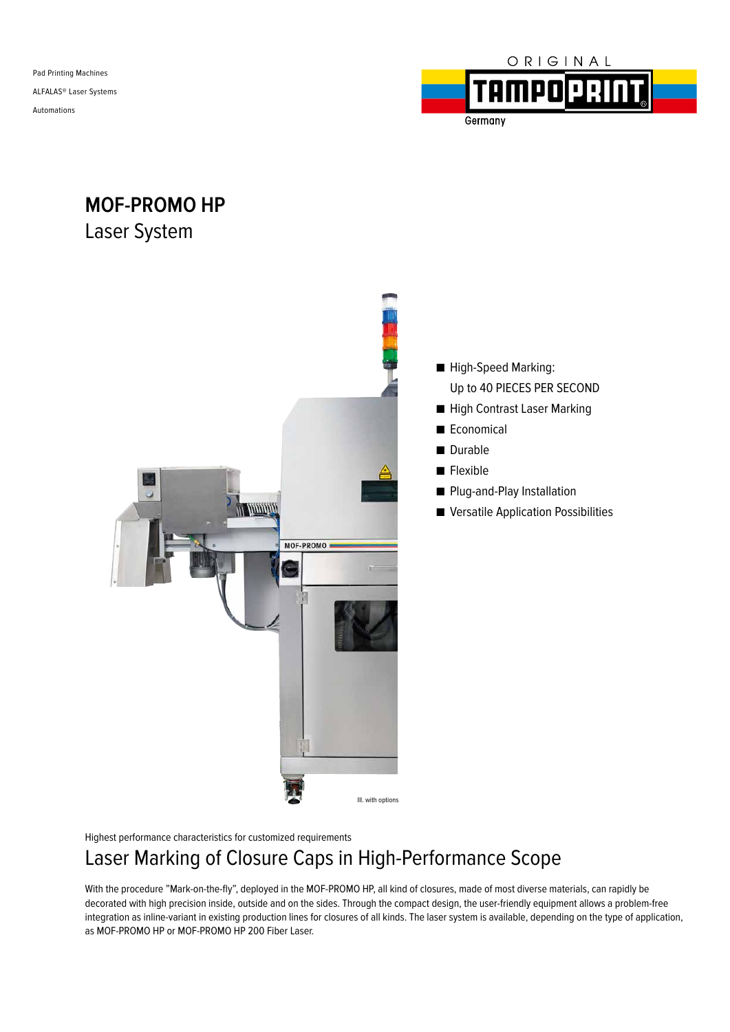

**MOF-PROMO HP** Laser System



Highest performance characteristics for customized requirements

# Laser Marking of Closure Caps in High-Performance Scope

With the procedure "Mark-on-the-fly", deployed in the MOF-PROMO HP, all kind of closures, made of most diverse materials, can rapidly be decorated with high precision inside, outside and on the sides. Through the compact design, the user-friendly equipment allows a problem-free integration as inline-variant in existing production lines for closures of all kinds. The laser system is available, depending on the type of application, as MOF-PROMO HP or MOF-PROMO HP 200 Fiber Laser.